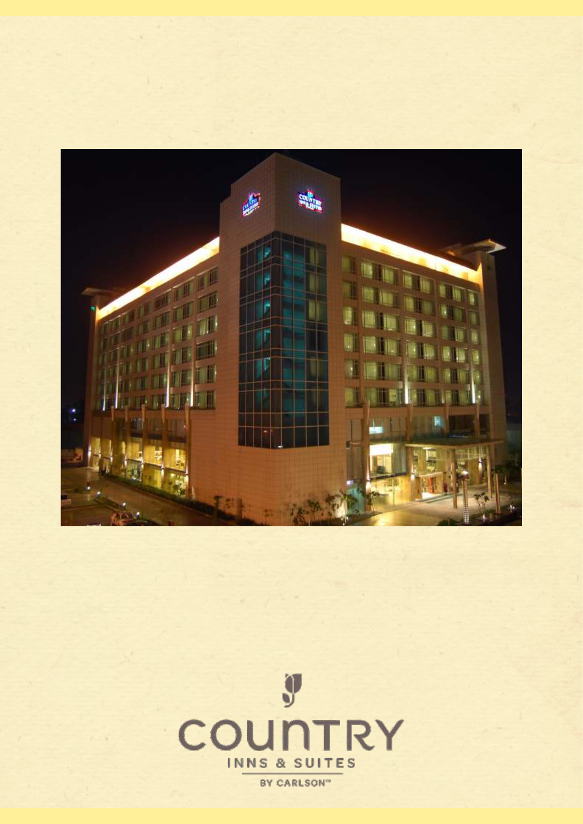

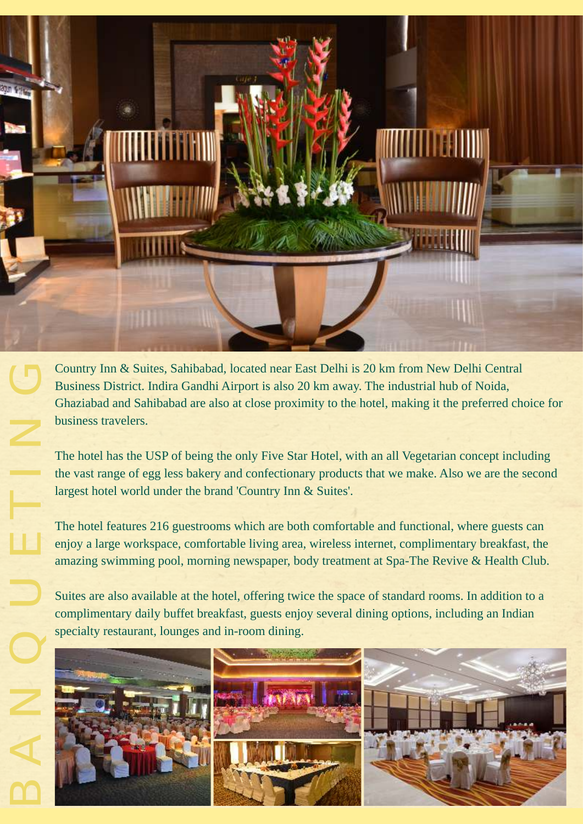agun Krátsk

Country Inn & Suites, Sahibabad, located near East Delhi is 20 km from New Delhi Central Business District. Indira Gandhi Airport is also 20 km away. The industrial hub of Noida, Ghaziabad and Sahibabad are also at close proximity to the hotel, making it the preferred choice for business travelers.

The hotel has the USP of being the only Five Star Hotel, with an all Vegetarian concept including the vast range of egg less bakery and confectionary products that we make. Also we are the second largest hotel world under the brand 'Country Inn & Suites'. The The United States

The hotel features 216 guestrooms which are both comfortable and functional, where guests can enjoy a large workspace, comfortable living area, wireless internet, complimentary breakfast, the amazing swimming pool, morning newspaper, body treatment at Spa-The Revive & Health Club.

Suites are also available at the hotel, offering twice the space of standard rooms. In addition to a complimentary daily buffet breakfast, guests enjoy several dining options, including an Indian specialty restaurant, lounges and in-room dining.



 $\mathsf{D}\mathsf{D}$ 

 $\blacktriangleleft$ 

N

 $\bigcup$ 

 $\Box$ 

 $\Box$ 

 $\overline{\phantom{a}}$ 

 $\bigcup$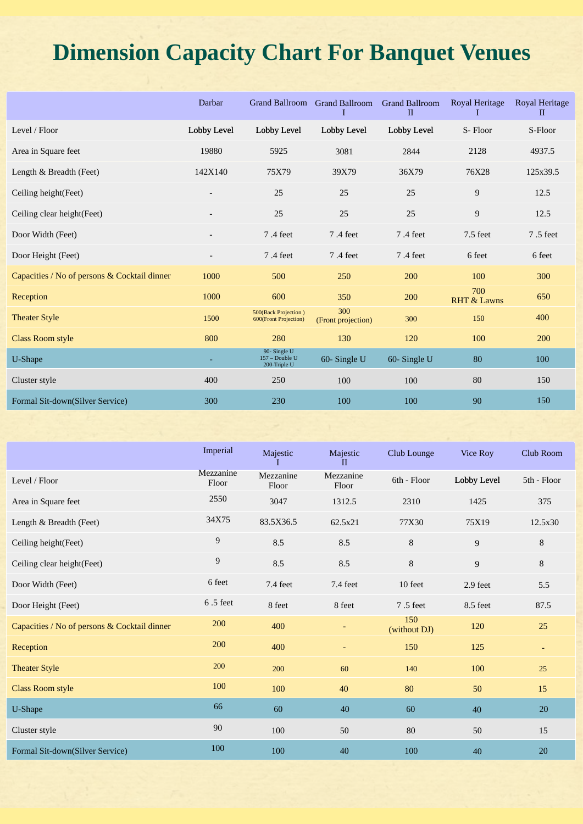# **Dimension Capacity Chart For Banquet Venues**

| Darbar                   | <b>Grand Ballroom</b>                         | I                         | <b>Grand Ballroom</b><br>$\mathbf{I}$ | Royal Heritage<br>1           | Royal Heritage<br>$\mathbf{I}$ |
|--------------------------|-----------------------------------------------|---------------------------|---------------------------------------|-------------------------------|--------------------------------|
| Lobby Level              | Lobby Level                                   | Lobby Level               | Lobby Level                           | S-Floor                       | S-Floor                        |
| 19880                    | 5925                                          | 3081                      | 2844                                  | 2128                          | 4937.5                         |
| 142X140                  | 75X79                                         | 39X79                     | 36X79                                 | 76X28                         | 125x39.5                       |
| $\overline{\phantom{a}}$ | 25                                            | 25                        | 25                                    | 9                             | 12.5                           |
| $\overline{\phantom{a}}$ | 25                                            | 25                        | 25                                    | 9                             | 12.5                           |
| $\overline{\phantom{a}}$ | 7.4 feet                                      | 7.4 feet                  | 7.4 feet                              | 7.5 feet                      | 7.5 feet                       |
|                          | 7.4 feet                                      | 7.4 feet                  | 7.4 feet                              | 6 feet                        | 6 feet                         |
| 1000                     | 500                                           | 250                       | 200                                   | 100                           | 300                            |
| 1000                     | 600                                           | 350                       | 200                                   | 700<br><b>RHT &amp; Lawns</b> | 650                            |
| 1500                     | 500(Back Projection)<br>600(Front Projection) | 300<br>(Front projection) | 300                                   | 150                           | 400                            |
| 800                      | 280                                           | 130                       | 120                                   | 100                           | 200                            |
|                          | 90-Single U<br>157 - Double U<br>200-Triple U | 60-Single U               | 60-Single U                           | 80                            | 100                            |
| 400                      | 250                                           | 100                       | 100                                   | 80                            | 150                            |
| 300                      | 230                                           | 100                       | 100                                   | 90                            | 150                            |
|                          |                                               |                           |                                       | <b>Grand Ballroom</b>         |                                |

|                                              | Imperial           | Majestic           | Majestic<br>$_{\rm II}$  | Club Lounge         | Vice Roy       | Club Room                |
|----------------------------------------------|--------------------|--------------------|--------------------------|---------------------|----------------|--------------------------|
| Level / Floor                                | Mezzanine<br>Floor | Mezzanine<br>Floor | Mezzanine<br>Floor       | 6th - Floor         | Lobby Level    | 5th - Floor              |
| Area in Square feet                          | 2550               | 3047               | 1312.5                   | 2310                | 1425           | 375                      |
| Length & Breadth (Feet)                      | 34X75              | 83.5X36.5          | 62.5x21                  | 77X30               | 75X19          | 12.5x30                  |
| Ceiling height (Feet)                        | 9                  | 8.5                | 8.5                      | $\,8\,$             | $\overline{9}$ | 8                        |
| Ceiling clear height(Feet)                   | 9                  | 8.5                | 8.5                      | $\,8\,$             | 9              | 8                        |
| Door Width (Feet)                            | 6 feet             | 7.4 feet           | 7.4 feet                 | 10 feet             | 2.9 feet       | 5.5                      |
| Door Height (Feet)                           | $6.5$ feet         | 8 feet             | 8 feet                   | 7.5 feet            | 8.5 feet       | 87.5                     |
| Capacities / No of persons & Cocktail dinner | 200                | 400                |                          | 150<br>(without DJ) | 120            | 25                       |
| Reception                                    | 200                | 400                | $\overline{\phantom{a}}$ | 150                 | 125            | $\overline{\phantom{a}}$ |
| <b>Theater Style</b>                         | 200                | 200                | 60                       | 140                 | 100            | 25                       |
| <b>Class Room style</b>                      | 100                | 100                | 40                       | 80                  | 50             | 15                       |
| U-Shape                                      | 66                 | 60                 | 40                       | 60                  | 40             | 20                       |
| Cluster style                                | 90                 | 100                | 50                       | 80                  | 50             | 15                       |
| Formal Sit-down(Silver Service)              | 100                | 100                | 40                       | 100                 | 40             | 20                       |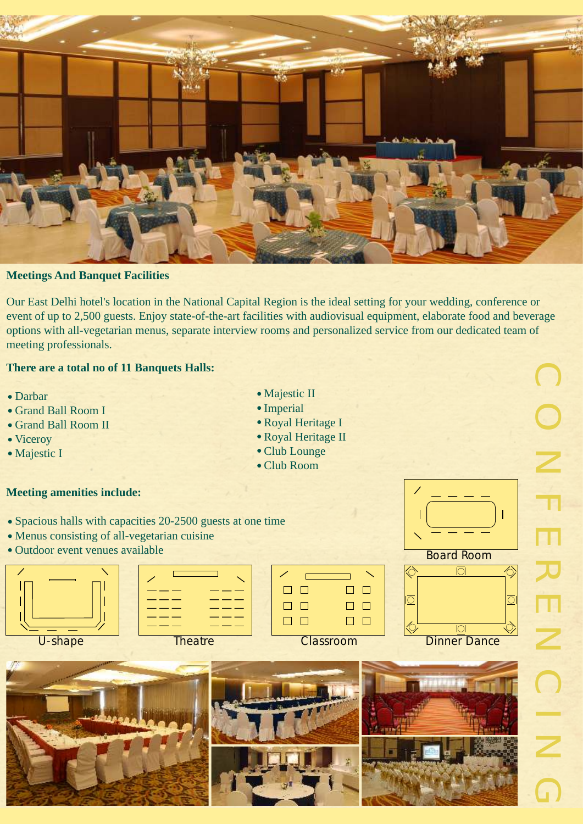

## **Meetings And Banquet Facilities**

Our East Delhi hotel's location in the National Capital Region is the ideal setting for your wedding, conference or event of up to 2,500 guests. Enjoy state-of-the-art facilities with audiovisual equipment, elaborate food and beverage options with all-vegetarian menus, separate interview rooms and personalized service from our dedicated team of meeting professionals.

## **There are a total no of 11 Banquets Halls:**

- Darbar
- Grand Ball Room I
- Grand Ball Room II
- Viceroy

T

Majestic I

#### **Meeting amenities include:**

- Spacious halls with capacities 20-2500 guests at one time
- Menus consisting of all-vegetarian cuisine
- Outdoor event venues available
	- U-shape Theatre Classroom Dinner Dance
		-









Board Room

 $\overline{O}$ 

 $\cap$ 

 $|\!\!\!\bigdiamond\!\!\!\bigcirc$ 

 $\overline{\mathbb{C}}$ 

<u> Ф</u>

 $\Box$   $\Box$ 

 $\Box$  $\Box$ 

 $\Box$  $\Box$ 

 $\bigcap$  $\bigcap$ N F E  $\overline{\mathcal{X}}$ E N  $\bigcirc$ <u>In the Sea</u>  $\overline{\phantom{a}}$  $\bigcap$ 

 $\overline{\diamondsuit}$ 

 $\overline{O}$ 

Ó,

- Majestic II
- Imperial
- Royal Heritage I
- Royal Heritage II
- Club Lounge
- Club Room

 $\Box$   $\Box$ 

 $\Box$  $\Box$ 

 $\Box$  $\Box$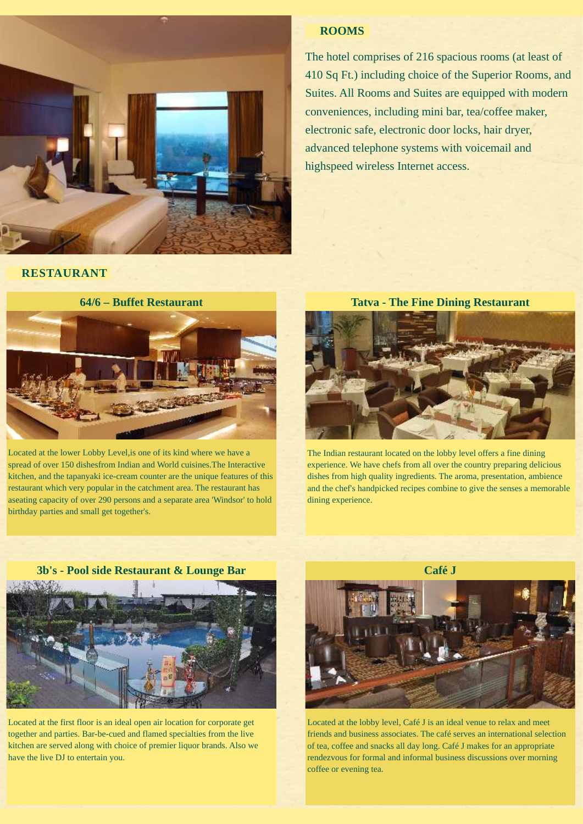

#### **ROOMS**

The hotel comprises of 216 spacious rooms (at least of 410 Sq Ft.) including choice of the Superior Rooms, and Suites. All Rooms and Suites are equipped with modern conveniences, including mini bar, tea/coffee maker, electronic safe, electronic door locks, hair dryer, advanced telephone systems with voicemail and highspeed wireless Internet access.

**RESTAURANT**



Located at the lower Lobby Level,is one of its kind where we have a spread of over 150 dishesfrom Indian and World cuisines.The Interactive kitchen, and the tapanyaki ice-cream counter are the unique features of this restaurant which very popular in the catchment area. The restaurant has aseating capacity of over 290 persons and a separate area 'Windsor' to hold birthday parties and small get together's.

**Tatva - The Fine Dining Restaurant**



The Indian restaurant located on the lobby level offers a fine dining experience. We have chefs from all over the country preparing delicious dishes from high quality ingredients. The aroma, presentation, ambience and the chef's handpicked recipes combine to give the senses a memorable dining experience.



Located at the first floor is an ideal open air location for corporate get together and parties. Bar-be-cued and flamed specialties from the live kitchen are served along with choice of premier liquor brands. Also we have the live DJ to entertain you.



Located at the lobby level, Café J is an ideal venue to relax and meet friends and business associates. The café serves an international selection of tea, coffee and snacks all day long. Café J makes for an appropriate rendezvous for formal and informal business discussions over morning coffee or evening tea.